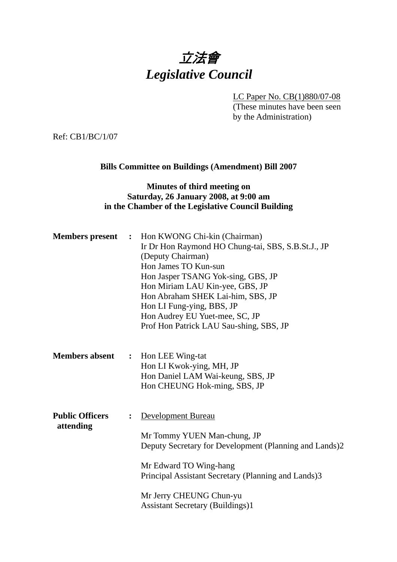# 立法會 *Legislative Council*

LC Paper No. CB(1)880/07-08 (These minutes have been seen by the Administration)

Ref: CB1/BC/1/07

# **Bills Committee on Buildings (Amendment) Bill 2007**

# **Minutes of third meeting on Saturday, 26 January 2008, at 9:00 am in the Chamber of the Legislative Council Building**

| <b>Members</b> present              | $\ddot{\phantom{1}}$ | Hon KWONG Chi-kin (Chairman)<br>Ir Dr Hon Raymond HO Chung-tai, SBS, S.B.St.J., JP<br>(Deputy Chairman)<br>Hon James TO Kun-sun<br>Hon Jasper TSANG Yok-sing, GBS, JP<br>Hon Miriam LAU Kin-yee, GBS, JP<br>Hon Abraham SHEK Lai-him, SBS, JP<br>Hon LI Fung-ying, BBS, JP<br>Hon Audrey EU Yuet-mee, SC, JP<br>Prof Hon Patrick LAU Sau-shing, SBS, JP |
|-------------------------------------|----------------------|---------------------------------------------------------------------------------------------------------------------------------------------------------------------------------------------------------------------------------------------------------------------------------------------------------------------------------------------------------|
| <b>Members absent</b>               | $\ddot{\cdot}$       | Hon LEE Wing-tat<br>Hon LI Kwok-ying, MH, JP<br>Hon Daniel LAM Wai-keung, SBS, JP<br>Hon CHEUNG Hok-ming, SBS, JP                                                                                                                                                                                                                                       |
| <b>Public Officers</b><br>attending |                      | <b>Development Bureau</b><br>Mr Tommy YUEN Man-chung, JP<br>Deputy Secretary for Development (Planning and Lands)2<br>Mr Edward TO Wing-hang<br>Principal Assistant Secretary (Planning and Lands)3<br>Mr Jerry CHEUNG Chun-yu<br><b>Assistant Secretary (Buildings)1</b>                                                                               |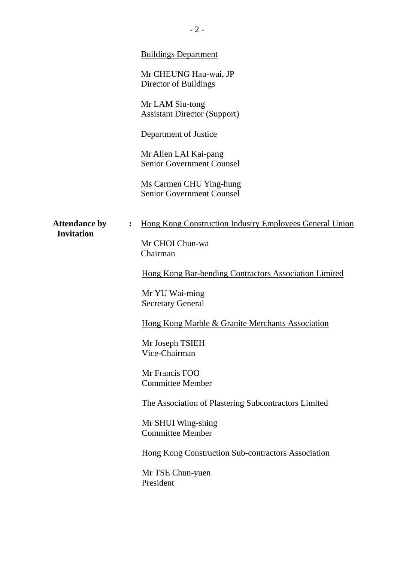|                                           |                  | <b>Buildings Department</b><br>Mr CHEUNG Hau-wai, JP<br>Director of Buildings<br>Mr LAM Siu-tong<br><b>Assistant Director (Support)</b><br>Department of Justice<br>Mr Allen LAI Kai-pang<br><b>Senior Government Counsel</b><br>Ms Carmen CHU Ying-hung<br><b>Senior Government Counsel</b>                                                                                                                                                                                                                                              |
|-------------------------------------------|------------------|-------------------------------------------------------------------------------------------------------------------------------------------------------------------------------------------------------------------------------------------------------------------------------------------------------------------------------------------------------------------------------------------------------------------------------------------------------------------------------------------------------------------------------------------|
| <b>Attendance by</b><br><b>Invitation</b> | $\ddot{\bullet}$ | Hong Kong Construction Industry Employees General Union<br>Mr CHOI Chun-wa<br>Chairman<br>Hong Kong Bar-bending Contractors Association Limited<br>Mr YU Wai-ming<br><b>Secretary General</b><br>Hong Kong Marble & Granite Merchants Association<br>Mr Joseph TSIEH<br>Vice-Chairman<br>Mr Francis FOO<br><b>Committee Member</b><br>The Association of Plastering Subcontractors Limited<br>Mr SHUI Wing-shing<br><b>Committee Member</b><br><b>Hong Kong Construction Sub-contractors Association</b><br>Mr TSE Chun-yuen<br>President |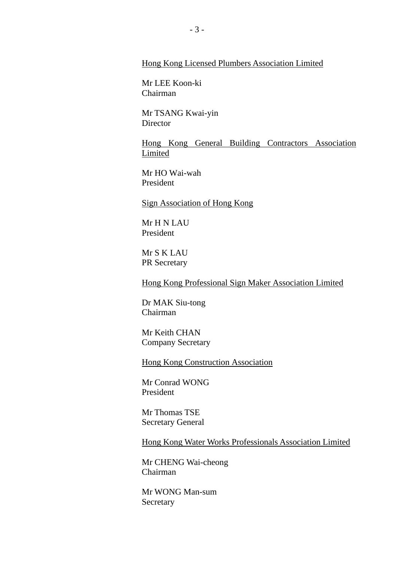#### Hong Kong Licensed Plumbers Association Limited

Mr LEE Koon-ki Chairman

Mr TSANG Kwai-yin **Director** 

Hong Kong General Building Contractors Association Limited

Mr HO Wai-wah President

#### Sign Association of Hong Kong

Mr H N LAU President

Mr S K LAU PR Secretary

Hong Kong Professional Sign Maker Association Limited

Dr MAK Siu-tong Chairman

Mr Keith CHAN Company Secretary

Hong Kong Construction Association

Mr Conrad WONG President

Mr Thomas TSE Secretary General

Hong Kong Water Works Professionals Association Limited

Mr CHENG Wai-cheong Chairman

Mr WONG Man-sum Secretary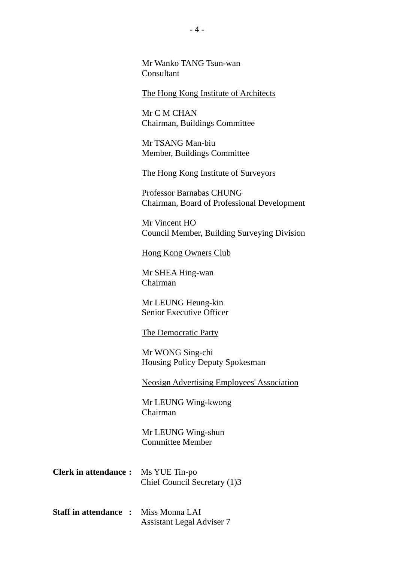Mr Wanko TANG Tsun-wan Consultant

The Hong Kong Institute of Architects

Mr C M CHAN Chairman, Buildings Committee

Mr TSANG Man-biu Member, Buildings Committee

The Hong Kong Institute of Surveyors

Professor Barnabas CHUNG Chairman, Board of Professional Development

Mr Vincent HO Council Member, Building Surveying Division

Hong Kong Owners Club

Mr SHEA Hing-wan Chairman

Mr LEUNG Heung-kin Senior Executive Officer

The Democratic Party

Mr WONG Sing-chi Housing Policy Deputy Spokesman

Neosign Advertising Employees' Association

Mr LEUNG Wing-kwong Chairman

Mr LEUNG Wing-shun Committee Member

| <b>Clerk in attendance :</b> Ms YUE Tin-po |                              |
|--------------------------------------------|------------------------------|
|                                            | Chief Council Secretary (1)3 |

**Staff in attendance :** Miss Monna LAI Assistant Legal Adviser 7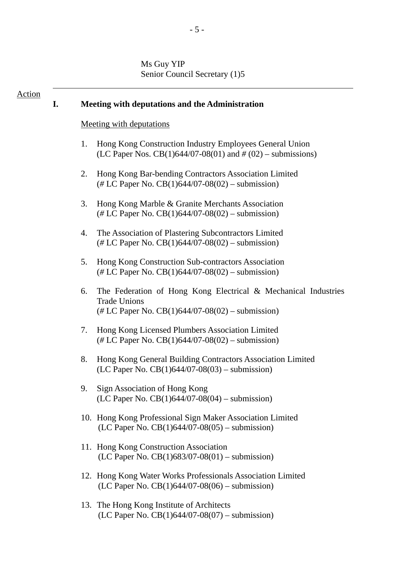# Ms Guy YIP Senior Council Secretary (1)5

| Action | I. | Meeting with deputations and the Administration                                                                                                    |
|--------|----|----------------------------------------------------------------------------------------------------------------------------------------------------|
|        |    | <b>Meeting with deputations</b>                                                                                                                    |
|        |    | 1.<br>Hong Kong Construction Industry Employees General Union<br>(LC Paper Nos. CB(1)644/07-08(01) and $\#$ (02) – submissions)                    |
|        |    | Hong Kong Bar-bending Contractors Association Limited<br>2.<br>$(\# LC$ Paper No. CB(1)644/07-08(02) – submission)                                 |
|        |    | 3.<br>Hong Kong Marble & Granite Merchants Association<br>$(\# LC$ Paper No. CB(1)644/07-08(02) – submission)                                      |
|        |    | The Association of Plastering Subcontractors Limited<br>4.<br>$(\# LC$ Paper No. CB(1)644/07-08(02) – submission)                                  |
|        |    | 5.<br>Hong Kong Construction Sub-contractors Association<br>$(\# LC$ Paper No. CB(1)644/07-08(02) – submission)                                    |
|        |    | 6.<br>The Federation of Hong Kong Electrical & Mechanical Industries<br><b>Trade Unions</b><br>$(\# LC$ Paper No. CB(1)644/07-08(02) – submission) |
|        |    | Hong Kong Licensed Plumbers Association Limited<br>7.<br>$(\# LC$ Paper No. CB(1)644/07-08(02) – submission)                                       |
|        |    | 8.<br>Hong Kong General Building Contractors Association Limited<br>(LC Paper No. $CB(1)644/07-08(03)$ – submission)                               |
|        |    | Sign Association of Hong Kong<br>9.<br>(LC Paper No. $CB(1)644/07-08(04)$ – submission)                                                            |
|        |    | 10. Hong Kong Professional Sign Maker Association Limited<br>(LC Paper No. $CB(1)644/07-08(05)$ – submission)                                      |
|        |    | 11. Hong Kong Construction Association<br>(LC Paper No. $CB(1)683/07-08(01)$ – submission)                                                         |
|        |    | 12. Hong Kong Water Works Professionals Association Limited<br>(LC Paper No. $CB(1)644/07-08(06)$ – submission)                                    |
|        |    | 13. The Hong Kong Institute of Architects<br>(LC Paper No. $CB(1)644/07-08(07)$ – submission)                                                      |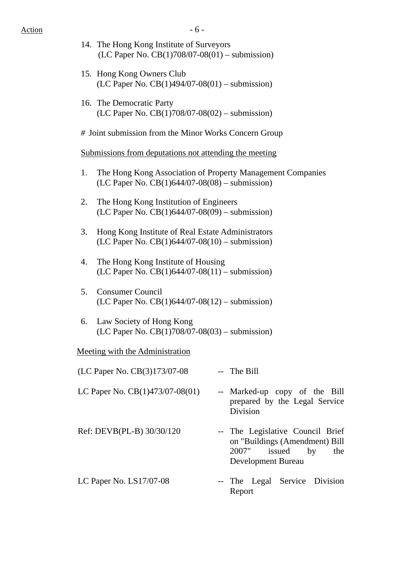- 14. The Hong Kong Institute of Surveyors (LC Paper No. CB(1)708/07-08(01) – submission)
- 15. Hong Kong Owners Club (LC Paper No. CB(1)494/07-08(01) – submission)
- 16. The Democratic Party (LC Paper No. CB(1)708/07-08(02) – submission)
- *#* Joint submission from the Minor Works Concern Group

#### Submissions from deputations not attending the meeting

- 1. The Hong Kong Association of Property Management Companies (LC Paper No. CB(1)644/07-08(08) – submission)
- 2. The Hong Kong Institution of Engineers (LC Paper No. CB(1)644/07-08(09) – submission)
- 3. Hong Kong Institute of Real Estate Administrators (LC Paper No. CB(1)644/07-08(10) – submission)
- 4. The Hong Kong Institute of Housing (LC Paper No. CB(1)644/07-08(11) – submission)
- 5. Consumer Council (LC Paper No. CB(1)644/07-08(12) – submission)
- 6. Law Society of Hong Kong (LC Paper No. CB(1)708/07-08(03) – submission)

# Meeting with the Administration

| (LC Paper No. CB(3)173/07-08    | -- The Bill                                                                                                              |
|---------------------------------|--------------------------------------------------------------------------------------------------------------------------|
| LC Paper No. CB(1)473/07-08(01) | -- Marked-up copy of the Bill<br>prepared by the Legal Service<br><b>Division</b>                                        |
| Ref: DEVB(PL-B) 30/30/120       | -- The Legislative Council Brief<br>on "Buildings (Amendment) Bill<br>2007"<br>issued<br>by<br>the<br>Development Bureau |
| LC Paper No. $LS17/07-08$       | -- The Legal Service Division<br>Report                                                                                  |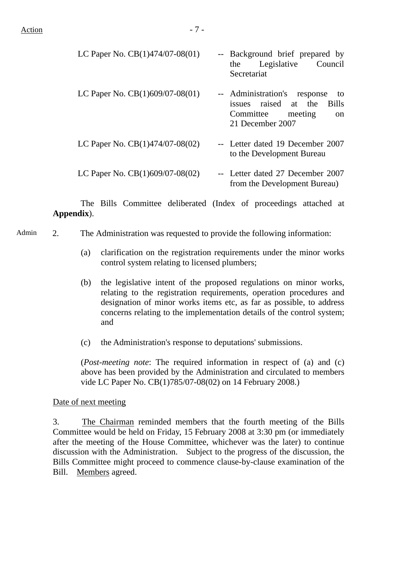| LC Paper No. $CB(1)474/07-08(01)$ | -- Background brief prepared by<br>Legislative Council<br>the<br>Secretariat                                                               |
|-----------------------------------|--------------------------------------------------------------------------------------------------------------------------------------------|
| LC Paper No. CB(1)609/07-08(01)   | -- Administration's<br>response<br>to<br>issues raised at the<br><b>Bills</b><br>Committee<br>meeting<br><sub>on</sub><br>21 December 2007 |
| LC Paper No. CB(1)474/07-08(02)   | -- Letter dated 19 December 2007<br>to the Development Bureau                                                                              |
| LC Paper No. $CB(1)609/07-08(02)$ | -- Letter dated 27 December 2007<br>from the Development Bureau)                                                                           |

 The Bills Committee deliberated (Index of proceedings attached at **Appendix**).

- Admin 2. The Administration was requested to provide the following information:
	- (a) clarification on the registration requirements under the minor works control system relating to licensed plumbers;
	- (b) the legislative intent of the proposed regulations on minor works, relating to the registration requirements, operation procedures and designation of minor works items etc, as far as possible, to address concerns relating to the implementation details of the control system; and
	- (c) the Administration's response to deputations' submissions.

(*Post-meeting note*: The required information in respect of (a) and (c) above has been provided by the Administration and circulated to members vide LC Paper No. CB(1)785/07-08(02) on 14 February 2008.)

# Date of next meeting

3. The Chairman reminded members that the fourth meeting of the Bills Committee would be held on Friday, 15 February 2008 at 3:30 pm (or immediately after the meeting of the House Committee, whichever was the later) to continue discussion with the Administration. Subject to the progress of the discussion, the Bills Committee might proceed to commence clause-by-clause examination of the Bill. Members agreed.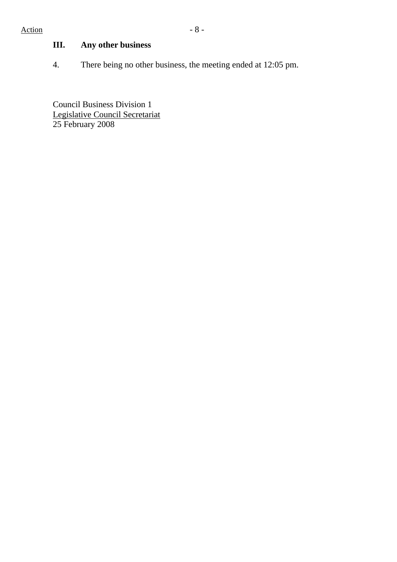# **III. Any other business**

4. There being no other business, the meeting ended at 12:05 pm.

Council Business Division 1 Legislative Council Secretariat 25 February 2008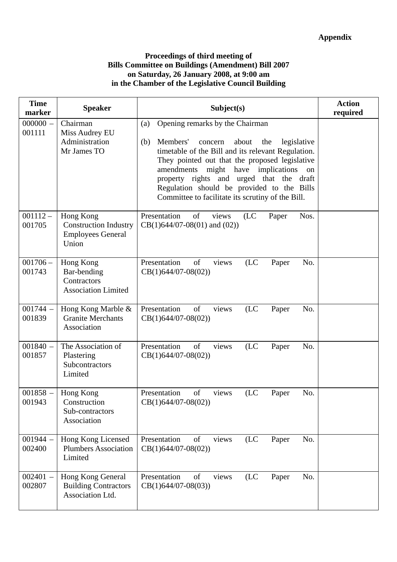# **Proceedings of third meeting of Bills Committee on Buildings (Amendment) Bill 2007 on Saturday, 26 January 2008, at 9:00 am in the Chamber of the Legislative Council Building**

| <b>Time</b><br>marker | <b>Speaker</b>                                                                 | Subject(s)                                                                                                                                                                                                                                                                                                                                                                                                            | <b>Action</b><br>required |
|-----------------------|--------------------------------------------------------------------------------|-----------------------------------------------------------------------------------------------------------------------------------------------------------------------------------------------------------------------------------------------------------------------------------------------------------------------------------------------------------------------------------------------------------------------|---------------------------|
| $000000 -$<br>001111  | Chairman<br>Miss Audrey EU<br>Administration<br>Mr James TO                    | Opening remarks by the Chairman<br>(a)<br>Members'<br>legislative<br>(b)<br>concern<br>about<br>the<br>timetable of the Bill and its relevant Regulation.<br>They pointed out that the proposed legislative<br>amendments<br>have<br>implications<br>might<br>on<br>property rights and<br>urged that the<br>draft<br>Regulation should be provided to the Bills<br>Committee to facilitate its scrutiny of the Bill. |                           |
| $001112 -$<br>001705  | Hong Kong<br><b>Construction Industry</b><br><b>Employees General</b><br>Union | Presentation<br>of<br>(LC)<br>views<br>Nos.<br>Paper<br>$CB(1)644/07-08(01)$ and $(02)$ )                                                                                                                                                                                                                                                                                                                             |                           |
| $001706 -$<br>001743  | Hong Kong<br>Bar-bending<br>Contractors<br><b>Association Limited</b>          | Presentation<br>of<br>views<br>(LC)<br>No.<br>Paper<br>$CB(1)644/07-08(02))$                                                                                                                                                                                                                                                                                                                                          |                           |
| $001744 -$<br>001839  | Hong Kong Marble &<br><b>Granite Merchants</b><br>Association                  | of<br>Presentation<br>views<br>(LC)<br>No.<br>Paper<br>$CB(1)644/07-08(02))$                                                                                                                                                                                                                                                                                                                                          |                           |
| $001840 -$<br>001857  | The Association of<br>Plastering<br>Subcontractors<br>Limited                  | Presentation<br>of<br>(LC)<br>No.<br>views<br>Paper<br>$CB(1)644/07-08(02))$                                                                                                                                                                                                                                                                                                                                          |                           |
| $001858 -$<br>001943  | Hong Kong<br>Construction<br>Sub-contractors<br>Association                    | of<br>Presentation<br>(LC)<br>No.<br>views<br>Paper<br>$CB(1)644/07-08(02))$                                                                                                                                                                                                                                                                                                                                          |                           |
| $001944 -$<br>002400  | Hong Kong Licensed<br><b>Plumbers Association</b><br>Limited                   | Presentation<br>of<br>views<br>(LC)<br>No.<br>Paper<br>$CB(1)644/07-08(02))$                                                                                                                                                                                                                                                                                                                                          |                           |
| $002401 -$<br>002807  | Hong Kong General<br><b>Building Contractors</b><br>Association Ltd.           | Presentation<br>of<br>(LC)<br>No.<br>views<br>Paper<br>$CB(1)644/07-08(03))$                                                                                                                                                                                                                                                                                                                                          |                           |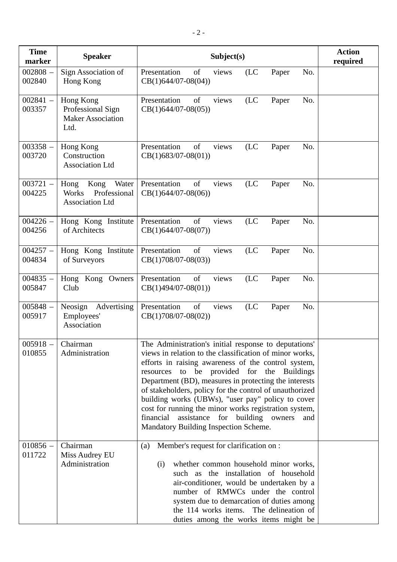| <b>Time</b><br>marker | <b>Speaker</b>                                                           | Subject(s)                                                                                                                                                                                                                                                                                                                                                                                                                                                                                                                                             | <b>Action</b><br>required |
|-----------------------|--------------------------------------------------------------------------|--------------------------------------------------------------------------------------------------------------------------------------------------------------------------------------------------------------------------------------------------------------------------------------------------------------------------------------------------------------------------------------------------------------------------------------------------------------------------------------------------------------------------------------------------------|---------------------------|
| $002808 -$<br>002840  | Sign Association of<br>Hong Kong                                         | Presentation<br>of<br>(LC)<br>No.<br>views<br>Paper<br>$CB(1)644/07-08(04))$                                                                                                                                                                                                                                                                                                                                                                                                                                                                           |                           |
| $002841 -$<br>003357  | Hong Kong<br>Professional Sign<br><b>Maker Association</b><br>Ltd.       | of<br>(LC)<br>No.<br>Presentation<br>Paper<br>views<br>$CB(1)644/07-08(05))$                                                                                                                                                                                                                                                                                                                                                                                                                                                                           |                           |
| $003358 -$<br>003720  | Hong Kong<br>Construction<br><b>Association Ltd</b>                      | of<br>Presentation<br>views<br>(LC)<br>Paper<br>No.<br>$CB(1)683/07-08(01))$                                                                                                                                                                                                                                                                                                                                                                                                                                                                           |                           |
| $003721 -$<br>004225  | Hong<br>Kong<br>Water<br>Professional<br>Works<br><b>Association Ltd</b> | of<br>Presentation<br>(LC)<br>No.<br>views<br>Paper<br>$CB(1)644/07-08(06))$                                                                                                                                                                                                                                                                                                                                                                                                                                                                           |                           |
| $004226 -$<br>004256  | Hong Kong Institute<br>of Architects                                     | Presentation<br>of<br>views<br>(LC)<br>No.<br>Paper<br>$CB(1)644/07-08(07))$                                                                                                                                                                                                                                                                                                                                                                                                                                                                           |                           |
| $004257 -$<br>004834  | Hong Kong Institute<br>of Surveyors                                      | Presentation<br>of<br>views<br>(LC)<br>Paper<br>No.<br>$CB(1)708/07-08(03))$                                                                                                                                                                                                                                                                                                                                                                                                                                                                           |                           |
| $004835 -$<br>005847  | Hong Kong Owners<br>Club                                                 | Presentation<br>of<br>views<br>(LC)<br>No.<br>Paper<br>$CB(1)494/07-08(01))$                                                                                                                                                                                                                                                                                                                                                                                                                                                                           |                           |
| $005848 -$<br>005917  | Neosign<br>Advertising<br>Employees'<br>Association                      | of<br>(LC)<br>Presentation<br>views<br>No.<br>Paper<br>$CB(1)708/07-08(02))$                                                                                                                                                                                                                                                                                                                                                                                                                                                                           |                           |
| $005918 -$<br>010855  | Chairman<br>Administration                                               | The Administration's initial response to deputations'<br>views in relation to the classification of minor works,<br>efforts in raising awareness of the control system,<br>resources to be provided for the Buildings<br>Department (BD), measures in protecting the interests<br>of stakeholders, policy for the control of unauthorized<br>building works (UBWs), "user pay" policy to cover<br>cost for running the minor works registration system,<br>financial<br>assistance for building owners<br>and<br>Mandatory Building Inspection Scheme. |                           |
| $010856 -$<br>011722  | Chairman<br>Miss Audrey EU<br>Administration                             | Member's request for clarification on :<br>(a)<br>whether common household minor works,<br>(i)<br>such as the installation of household<br>air-conditioner, would be undertaken by a<br>number of RMWCs under the control<br>system due to demarcation of duties among<br>the 114 works items. The delineation of<br>duties among the works items might be                                                                                                                                                                                             |                           |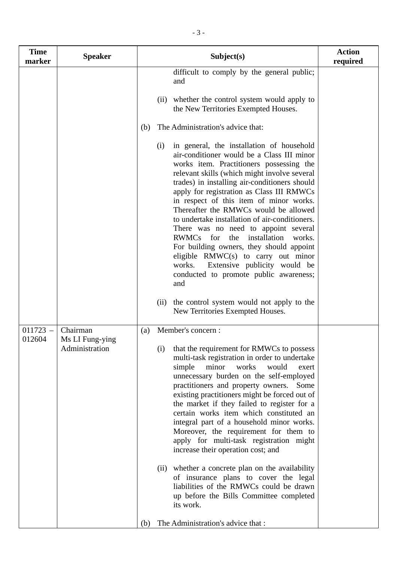| <b>Time</b><br>marker | <b>Speaker</b>                                | Subject(s)                                                                                                                                                                                                                                                                                                                                                                                                                                                                                                                                                                                                                                                                                                                                                                              | <b>Action</b><br>required |
|-----------------------|-----------------------------------------------|-----------------------------------------------------------------------------------------------------------------------------------------------------------------------------------------------------------------------------------------------------------------------------------------------------------------------------------------------------------------------------------------------------------------------------------------------------------------------------------------------------------------------------------------------------------------------------------------------------------------------------------------------------------------------------------------------------------------------------------------------------------------------------------------|---------------------------|
|                       |                                               | difficult to comply by the general public;<br>and                                                                                                                                                                                                                                                                                                                                                                                                                                                                                                                                                                                                                                                                                                                                       |                           |
|                       |                                               | (ii) whether the control system would apply to<br>the New Territories Exempted Houses.                                                                                                                                                                                                                                                                                                                                                                                                                                                                                                                                                                                                                                                                                                  |                           |
|                       |                                               | The Administration's advice that:<br>(b)                                                                                                                                                                                                                                                                                                                                                                                                                                                                                                                                                                                                                                                                                                                                                |                           |
|                       |                                               | in general, the installation of household<br>(i)<br>air-conditioner would be a Class III minor<br>works item. Practitioners possessing the<br>relevant skills (which might involve several<br>trades) in installing air-conditioners should<br>apply for registration as Class III RMWCs<br>in respect of this item of minor works.<br>Thereafter the RMWCs would be allowed<br>to undertake installation of air-conditioners.<br>There was no need to appoint several<br>RWMCs for<br>installation<br>the<br>works.<br>For building owners, they should appoint<br>eligible RMWC(s) to carry out minor<br>Extensive publicity would be<br>works.<br>conducted to promote public awareness;<br>and                                                                                      |                           |
|                       |                                               | the control system would not apply to the<br>(ii)<br>New Territories Exempted Houses.                                                                                                                                                                                                                                                                                                                                                                                                                                                                                                                                                                                                                                                                                                   |                           |
| $011723 -$<br>012604  | Chairman<br>Ms LI Fung-ying<br>Administration | Member's concern :<br>(a)<br>that the requirement for RMWCs to possess<br>(i)<br>multi-task registration in order to undertake<br>works<br>would<br>simple<br>minor<br>exert<br>unnecessary burden on the self-employed<br>practitioners and property owners.<br>Some<br>existing practitioners might be forced out of<br>the market if they failed to register for a<br>certain works item which constituted an<br>integral part of a household minor works.<br>Moreover, the requirement for them to<br>apply for multi-task registration might<br>increase their operation cost; and<br>(ii) whether a concrete plan on the availability<br>of insurance plans to cover the legal<br>liabilities of the RMWCs could be drawn<br>up before the Bills Committee completed<br>its work. |                           |
|                       |                                               | The Administration's advice that :<br>(b)                                                                                                                                                                                                                                                                                                                                                                                                                                                                                                                                                                                                                                                                                                                                               |                           |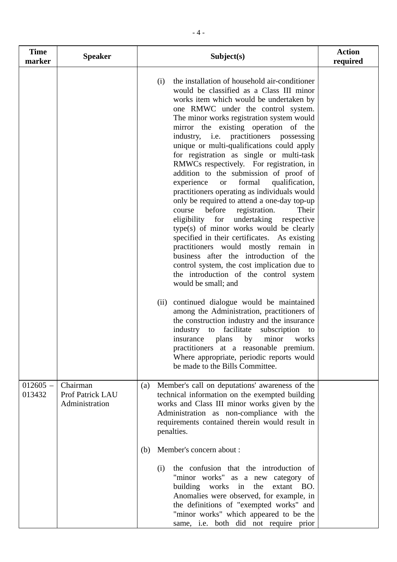| <b>Time</b><br>marker | <b>Speaker</b>                                 | Subject(s)                                                                                                                                                                                                                                                                                                                                                                                                                                                                                                                                                                                                                                                                                                                                                                                                                                                                                                                                                                                                                                                                                                                                                                                                                                                                                                                                                                                                                            | <b>Action</b><br>required |
|-----------------------|------------------------------------------------|---------------------------------------------------------------------------------------------------------------------------------------------------------------------------------------------------------------------------------------------------------------------------------------------------------------------------------------------------------------------------------------------------------------------------------------------------------------------------------------------------------------------------------------------------------------------------------------------------------------------------------------------------------------------------------------------------------------------------------------------------------------------------------------------------------------------------------------------------------------------------------------------------------------------------------------------------------------------------------------------------------------------------------------------------------------------------------------------------------------------------------------------------------------------------------------------------------------------------------------------------------------------------------------------------------------------------------------------------------------------------------------------------------------------------------------|---------------------------|
|                       |                                                | the installation of household air-conditioner<br>(i)<br>would be classified as a Class III minor<br>works item which would be undertaken by<br>one RMWC under the control system.<br>The minor works registration system would<br>mirror the existing operation of the<br>industry, i.e. practitioners possessing<br>unique or multi-qualifications could apply<br>for registration as single or multi-task<br>RMWCs respectively. For registration, in<br>addition to the submission of proof of<br>experience<br>formal<br>qualification,<br><b>or</b><br>practitioners operating as individuals would<br>only be required to attend a one-day top-up<br>before<br>registration.<br>Their<br>course<br>for<br>eligibility<br>undertaking<br>respective<br>type(s) of minor works would be clearly<br>specified in their certificates.<br>As existing<br>practitioners would mostly remain in<br>business after the introduction of the<br>control system, the cost implication due to<br>the introduction of the control system<br>would be small; and<br>continued dialogue would be maintained<br>(ii)<br>among the Administration, practitioners of<br>the construction industry and the insurance<br>industry<br>facilitate<br>subscription<br>to<br>to<br>minor<br>insurance<br>plans<br>by<br>works<br>practitioners at a reasonable premium.<br>Where appropriate, periodic reports would<br>be made to the Bills Committee. |                           |
| $012605 -$<br>013432  | Chairman<br>Prof Patrick LAU<br>Administration | Member's call on deputations' awareness of the<br>(a)<br>technical information on the exempted building<br>works and Class III minor works given by the<br>Administration as non-compliance with the<br>requirements contained therein would result in<br>penalties.                                                                                                                                                                                                                                                                                                                                                                                                                                                                                                                                                                                                                                                                                                                                                                                                                                                                                                                                                                                                                                                                                                                                                                  |                           |
|                       |                                                | Member's concern about :<br>(b)<br>the confusion that the introduction of<br>(i)<br>"minor works" as a new category of<br>building works in the<br>extant BO.<br>Anomalies were observed, for example, in<br>the definitions of "exempted works" and<br>"minor works" which appeared to be the<br>same, i.e. both did not require prior                                                                                                                                                                                                                                                                                                                                                                                                                                                                                                                                                                                                                                                                                                                                                                                                                                                                                                                                                                                                                                                                                               |                           |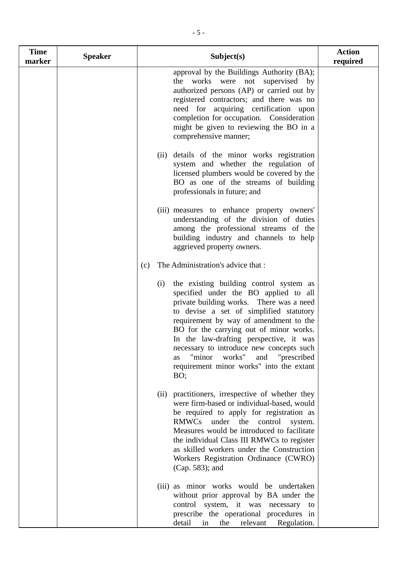| <b>Time</b><br>marker | <b>Speaker</b> | Subject(s)                                                                                                                                                                                                                                                                                                                                                                                                                                               | <b>Action</b><br>required |
|-----------------------|----------------|----------------------------------------------------------------------------------------------------------------------------------------------------------------------------------------------------------------------------------------------------------------------------------------------------------------------------------------------------------------------------------------------------------------------------------------------------------|---------------------------|
|                       |                | approval by the Buildings Authority (BA);<br>the works were not supervised by<br>authorized persons (AP) or carried out by<br>registered contractors; and there was no<br>need for acquiring certification upon<br>completion for occupation. Consideration<br>might be given to reviewing the BO in a<br>comprehensive manner;                                                                                                                          |                           |
|                       |                | details of the minor works registration<br>(ii)<br>system and whether the regulation of<br>licensed plumbers would be covered by the<br>BO as one of the streams of building<br>professionals in future; and                                                                                                                                                                                                                                             |                           |
|                       |                | (iii) measures to enhance property owners'<br>understanding of the division of duties<br>among the professional streams of the<br>building industry and channels to help<br>aggrieved property owners.                                                                                                                                                                                                                                                   |                           |
|                       |                | The Administration's advice that :<br>(c)                                                                                                                                                                                                                                                                                                                                                                                                                |                           |
|                       |                | the existing building control system as<br>(i)<br>specified under the BO applied to all<br>private building works. There was a need<br>to devise a set of simplified statutory<br>requirement by way of amendment to the<br>BO for the carrying out of minor works.<br>In the law-drafting perspective, it was<br>necessary to introduce new concepts such<br>"minor<br>works" and "prescribed"<br>as<br>requirement minor works" into the extant<br>BO; |                           |
|                       |                | (ii) practitioners, irrespective of whether they<br>were firm-based or individual-based, would<br>be required to apply for registration as<br>RMWCs under the<br>control<br>system.<br>Measures would be introduced to facilitate<br>the individual Class III RMWCs to register<br>as skilled workers under the Construction<br>Workers Registration Ordinance (CWRO)<br>(Cap. 583); and                                                                 |                           |
|                       |                | (iii) as minor works would be undertaken<br>without prior approval by BA under the<br>control system, it was necessary to<br>prescribe the operational procedures in<br>detail<br>the<br>relevant<br>Regulation.<br>in                                                                                                                                                                                                                                   |                           |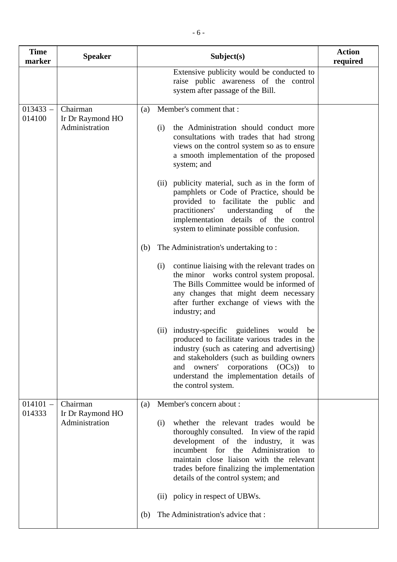| <b>Time</b><br>marker | <b>Speaker</b>                                 | Subject(s)                                                                                                                                                                                                                                                                                                                                                                        | <b>Action</b><br>required |
|-----------------------|------------------------------------------------|-----------------------------------------------------------------------------------------------------------------------------------------------------------------------------------------------------------------------------------------------------------------------------------------------------------------------------------------------------------------------------------|---------------------------|
|                       |                                                | Extensive publicity would be conducted to<br>raise public awareness of the control<br>system after passage of the Bill.                                                                                                                                                                                                                                                           |                           |
| $013433 -$<br>014100  | Chairman<br>Ir Dr Raymond HO<br>Administration | Member's comment that :<br>(a)<br>the Administration should conduct more<br>(i)<br>consultations with trades that had strong<br>views on the control system so as to ensure<br>a smooth implementation of the proposed<br>system; and                                                                                                                                             |                           |
|                       |                                                | publicity material, such as in the form of<br>(ii)<br>pamphlets or Code of Practice, should be<br>provided to facilitate the public<br>and<br>practitioners'<br>understanding<br>of<br>the<br>implementation details of the control<br>system to eliminate possible confusion.                                                                                                    |                           |
|                       |                                                | The Administration's undertaking to:<br>(b)<br>continue liaising with the relevant trades on<br>(i)<br>the minor works control system proposal.<br>The Bills Committee would be informed of<br>any changes that might deem necessary<br>after further exchange of views with the<br>industry; and<br>industry-specific guidelines<br>would be<br>(ii)                             |                           |
|                       |                                                | produced to facilitate various trades in the<br>industry (such as catering and advertising)<br>and stakeholders (such as building owners<br>owners' corporations (OCs))<br>and<br>to<br>understand the implementation details of<br>the control system.                                                                                                                           |                           |
| $014101 -$<br>014333  | Chairman<br>Ir Dr Raymond HO<br>Administration | Member's concern about :<br>(a)<br>whether the relevant trades would be<br>(i)<br>thoroughly consulted. In view of the rapid<br>development of the industry, it was<br>incumbent for the<br>Administration to<br>maintain close liaison with the relevant<br>trades before finalizing the implementation<br>details of the control system; and<br>(ii) policy in respect of UBWs. |                           |
|                       |                                                | The Administration's advice that :<br>(b)                                                                                                                                                                                                                                                                                                                                         |                           |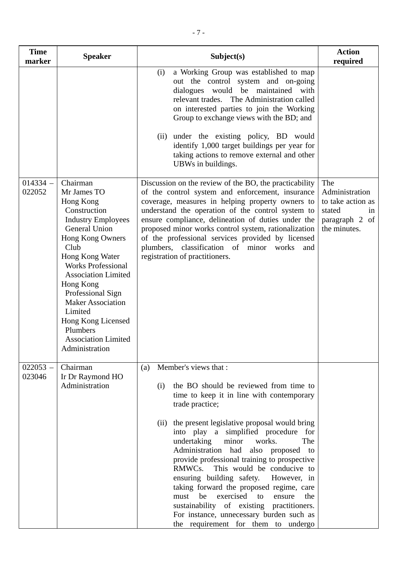| <b>Time</b><br>marker | <b>Speaker</b>                                                                                                                                                                                                                                                                                                                                                                 | Subject(s)                                                                                                                                                                                                                                                                                                                                                                                                                                                                                                                                                                                                                                                                                      | <b>Action</b><br>required                                                                    |
|-----------------------|--------------------------------------------------------------------------------------------------------------------------------------------------------------------------------------------------------------------------------------------------------------------------------------------------------------------------------------------------------------------------------|-------------------------------------------------------------------------------------------------------------------------------------------------------------------------------------------------------------------------------------------------------------------------------------------------------------------------------------------------------------------------------------------------------------------------------------------------------------------------------------------------------------------------------------------------------------------------------------------------------------------------------------------------------------------------------------------------|----------------------------------------------------------------------------------------------|
|                       |                                                                                                                                                                                                                                                                                                                                                                                | a Working Group was established to map<br>(i)<br>out the control system and on-going<br>dialogues would be maintained<br>with<br>relevant trades. The Administration called<br>on interested parties to join the Working<br>Group to exchange views with the BD; and<br>under the existing policy, BD would<br>(ii)<br>identify 1,000 target buildings per year for<br>taking actions to remove external and other<br>UBWs in buildings.                                                                                                                                                                                                                                                        |                                                                                              |
| $014334 -$<br>022052  | Chairman<br>Mr James TO<br>Hong Kong<br>Construction<br><b>Industry Employees</b><br><b>General Union</b><br>Hong Kong Owners<br>Club<br>Hong Kong Water<br><b>Works Professional</b><br><b>Association Limited</b><br>Hong Kong<br>Professional Sign<br><b>Maker Association</b><br>Limited<br>Hong Kong Licensed<br>Plumbers<br><b>Association Limited</b><br>Administration | Discussion on the review of the BO, the practicability<br>of the control system and enforcement, insurance<br>coverage, measures in helping property owners to<br>understand the operation of the control system to<br>ensure compliance, delineation of duties under the<br>proposed minor works control system, rationalization<br>of the professional services provided by licensed<br>plumbers, classification of minor<br>works<br>and<br>registration of practitioners.                                                                                                                                                                                                                   | The<br>Administration<br>to take action as<br>stated<br>in<br>paragraph 2 of<br>the minutes. |
| $022053 -$<br>023046  | Chairman<br>Ir Dr Raymond HO<br>Administration                                                                                                                                                                                                                                                                                                                                 | Member's views that :<br>(a)<br>the BO should be reviewed from time to<br>(i)<br>time to keep it in line with contemporary<br>trade practice;<br>the present legislative proposal would bring<br>(ii)<br>into play a simplified procedure for<br>undertaking<br>minor<br>works.<br>The<br>Administration had<br>also proposed<br>to<br>provide professional training to prospective<br>This would be conducive to<br>RMWCs.<br>ensuring building safety. However, in<br>taking forward the proposed regime, care<br>exercised to<br>be<br>must<br>ensure<br>the<br>sustainability of existing practitioners.<br>For instance, unnecessary burden such as<br>the requirement for them to undergo |                                                                                              |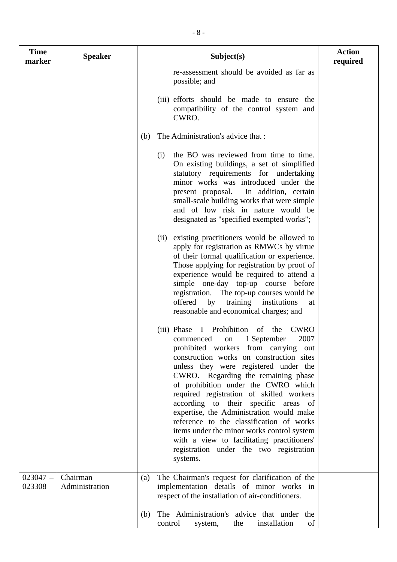| <b>Time</b><br>marker | <b>Speaker</b>             | Subject(s)                                                                                                                                                                                                                                                                                                                                                                                                                                                                                                                                                                                                                                 | <b>Action</b><br>required |
|-----------------------|----------------------------|--------------------------------------------------------------------------------------------------------------------------------------------------------------------------------------------------------------------------------------------------------------------------------------------------------------------------------------------------------------------------------------------------------------------------------------------------------------------------------------------------------------------------------------------------------------------------------------------------------------------------------------------|---------------------------|
|                       |                            | re-assessment should be avoided as far as<br>possible; and                                                                                                                                                                                                                                                                                                                                                                                                                                                                                                                                                                                 |                           |
|                       |                            | (iii) efforts should be made to ensure the<br>compatibility of the control system and<br>CWRO.                                                                                                                                                                                                                                                                                                                                                                                                                                                                                                                                             |                           |
|                       |                            | The Administration's advice that :<br>(b)                                                                                                                                                                                                                                                                                                                                                                                                                                                                                                                                                                                                  |                           |
|                       |                            | the BO was reviewed from time to time.<br>(i)<br>On existing buildings, a set of simplified<br>statutory requirements for undertaking<br>minor works was introduced under the<br>present proposal.<br>In addition, certain<br>small-scale building works that were simple<br>and of low risk in nature would be<br>designated as "specified exempted works";                                                                                                                                                                                                                                                                               |                           |
|                       |                            | existing practitioners would be allowed to<br>(ii)<br>apply for registration as RMWCs by virtue<br>of their formal qualification or experience.<br>Those applying for registration by proof of<br>experience would be required to attend a<br>simple one-day top-up course before<br>registration. The top-up courses would be<br>offered<br>institutions<br>training<br>by<br>at<br>reasonable and economical charges; and                                                                                                                                                                                                                |                           |
|                       |                            | Prohibition<br><b>CWRO</b><br>(iii) Phase<br>of<br>the<br>2007<br>1 September<br>commenced<br>on<br>prohibited workers from carrying out<br>construction works on construction sites<br>unless they were registered under the<br>CWRO. Regarding the remaining phase<br>of prohibition under the CWRO which<br>required registration of skilled workers<br>according to their specific areas of<br>expertise, the Administration would make<br>reference to the classification of works<br>items under the minor works control system<br>with a view to facilitating practitioners'<br>registration under the two registration<br>systems. |                           |
| $023047 -$<br>023308  | Chairman<br>Administration | The Chairman's request for clarification of the<br>(a)<br>implementation details of minor works in<br>respect of the installation of air-conditioners.                                                                                                                                                                                                                                                                                                                                                                                                                                                                                     |                           |
|                       |                            | The Administration's advice that under the<br>(b)<br>installation<br>of<br>control<br>the<br>system,                                                                                                                                                                                                                                                                                                                                                                                                                                                                                                                                       |                           |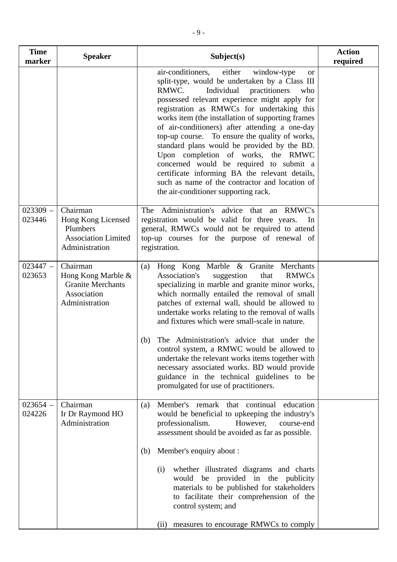| <b>Time</b><br>marker | <b>Speaker</b>                                                                              | Subject(s)                                                                                                                                                                                                                                                                                                                                                                                                                                                                                                                                                                                                                                                                                   | <b>Action</b><br>required |
|-----------------------|---------------------------------------------------------------------------------------------|----------------------------------------------------------------------------------------------------------------------------------------------------------------------------------------------------------------------------------------------------------------------------------------------------------------------------------------------------------------------------------------------------------------------------------------------------------------------------------------------------------------------------------------------------------------------------------------------------------------------------------------------------------------------------------------------|---------------------------|
|                       |                                                                                             | air-conditioners,<br>either<br>window-type<br><b>or</b><br>split-type, would be undertaken by a Class III<br>RMWC.<br>Individual<br>practitioners<br>who<br>possessed relevant experience might apply for<br>registration as RMWCs for undertaking this<br>works item (the installation of supporting frames<br>of air-conditioners) after attending a one-day<br>top-up course. To ensure the quality of works,<br>standard plans would be provided by the BD.<br>Upon completion of works, the RMWC<br>concerned would be required to submit a<br>certificate informing BA the relevant details,<br>such as name of the contractor and location of<br>the air-conditioner supporting rack. |                           |
| $023309 -$<br>023446  | Chairman<br>Hong Kong Licensed<br>Plumbers<br><b>Association Limited</b><br>Administration  | The Administration's advice that an RMWC's<br>registration would be valid for three years.<br>In<br>general, RMWCs would not be required to attend<br>top-up courses for the purpose of renewal of<br>registration.                                                                                                                                                                                                                                                                                                                                                                                                                                                                          |                           |
| $023447 -$<br>023653  | Chairman<br>Hong Kong Marble &<br><b>Granite Merchants</b><br>Association<br>Administration | Hong Kong Marble & Granite Merchants<br>(a)<br><b>RMWCs</b><br>Association's<br>suggestion<br>that<br>specializing in marble and granite minor works,<br>which normally entailed the removal of small<br>patches of external wall, should be allowed to<br>undertake works relating to the removal of walls<br>and fixtures which were small-scale in nature.<br>The Administration's advice that under the<br>(b)<br>control system, a RMWC would be allowed to<br>undertake the relevant works items together with<br>necessary associated works. BD would provide<br>guidance in the technical guidelines to be<br>promulgated for use of practitioners.                                  |                           |
| $023654 -$<br>024226  | Chairman<br>Ir Dr Raymond HO<br>Administration                                              | Member's remark that continual education<br>(a)<br>would be beneficial to upkeeping the industry's<br>However,<br>professionalism.<br>course-end<br>assessment should be avoided as far as possible.<br>Member's enquiry about :<br>(b)<br>whether illustrated diagrams and charts<br>(i)<br>would be provided in the publicity<br>materials to be published for stakeholders<br>to facilitate their comprehension of the<br>control system; and<br>measures to encourage RMWCs to comply<br>(ii)                                                                                                                                                                                            |                           |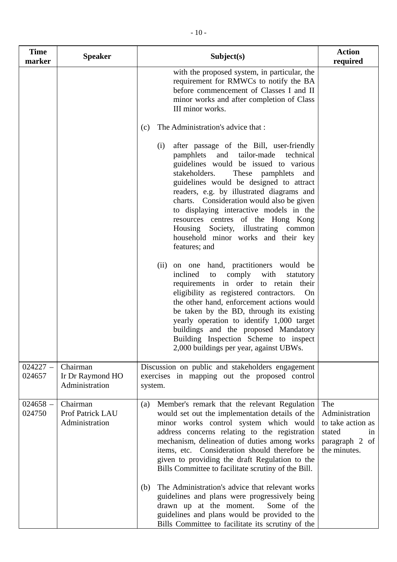| <b>Time</b><br>marker | <b>Speaker</b>                                 | Subject(s)                                                                                                                                                                                                                                                                                                                                                                                                                                                                                                | <b>Action</b><br>required                                                                    |
|-----------------------|------------------------------------------------|-----------------------------------------------------------------------------------------------------------------------------------------------------------------------------------------------------------------------------------------------------------------------------------------------------------------------------------------------------------------------------------------------------------------------------------------------------------------------------------------------------------|----------------------------------------------------------------------------------------------|
|                       |                                                | with the proposed system, in particular, the<br>requirement for RMWCs to notify the BA<br>before commencement of Classes I and II<br>minor works and after completion of Class<br>III minor works.                                                                                                                                                                                                                                                                                                        |                                                                                              |
|                       |                                                | The Administration's advice that :<br>(c)                                                                                                                                                                                                                                                                                                                                                                                                                                                                 |                                                                                              |
|                       |                                                | after passage of the Bill, user-friendly<br>(i)<br>tailor-made<br>pamphlets<br>and<br>technical<br>guidelines would be issued to various<br>stakeholders.<br>These pamphlets<br>and<br>guidelines would be designed to attract<br>readers, e.g. by illustrated diagrams and<br>charts. Consideration would also be given<br>to displaying interactive models in the<br>resources centres of the Hong Kong<br>Housing Society, illustrating common<br>household minor works and their key<br>features; and |                                                                                              |
|                       |                                                | on one hand, practitioners would be<br>(ii)<br>inclined<br>comply with<br>to<br>statutory<br>requirements in order to retain their<br>eligibility as registered contractors.<br>On<br>the other hand, enforcement actions would<br>be taken by the BD, through its existing<br>yearly operation to identify 1,000 target<br>buildings and the proposed Mandatory<br>Building Inspection Scheme to inspect<br>2,000 buildings per year, against UBWs.                                                      |                                                                                              |
| $024227 -$<br>024657  | Chairman<br>Ir Dr Raymond HO<br>Administration | Discussion on public and stakeholders engagement<br>exercises in mapping out the proposed control<br>system.                                                                                                                                                                                                                                                                                                                                                                                              |                                                                                              |
| $024658 -$<br>024750  | Chairman<br>Prof Patrick LAU<br>Administration | Member's remark that the relevant Regulation<br>(a)<br>would set out the implementation details of the<br>minor works control system which would<br>address concerns relating to the registration<br>mechanism, delineation of duties among works<br>items, etc. Consideration should therefore be<br>given to providing the draft Regulation to the<br>Bills Committee to facilitate scrutiny of the Bill.<br>The Administration's advice that relevant works<br>(b)                                     | The<br>Administration<br>to take action as<br>stated<br>in<br>paragraph 2 of<br>the minutes. |
|                       |                                                | guidelines and plans were progressively being<br>drawn up at the moment.<br>Some of the<br>guidelines and plans would be provided to the<br>Bills Committee to facilitate its scrutiny of the                                                                                                                                                                                                                                                                                                             |                                                                                              |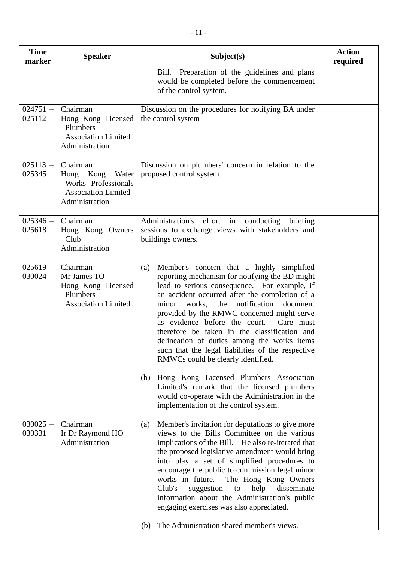| <b>Speaker</b>                                                                                        | Subject(s)                                                                                                                                                                                                                                                                                                                                                                                                                                                                                                                                                                                                                                                                                        | <b>Action</b><br>required             |
|-------------------------------------------------------------------------------------------------------|---------------------------------------------------------------------------------------------------------------------------------------------------------------------------------------------------------------------------------------------------------------------------------------------------------------------------------------------------------------------------------------------------------------------------------------------------------------------------------------------------------------------------------------------------------------------------------------------------------------------------------------------------------------------------------------------------|---------------------------------------|
|                                                                                                       | Preparation of the guidelines and plans<br>Bill.<br>would be completed before the commencement<br>of the control system.                                                                                                                                                                                                                                                                                                                                                                                                                                                                                                                                                                          |                                       |
| Chairman<br>Hong Kong Licensed<br>Plumbers<br><b>Association Limited</b><br>Administration            | Discussion on the procedures for notifying BA under<br>the control system                                                                                                                                                                                                                                                                                                                                                                                                                                                                                                                                                                                                                         |                                       |
| Chairman<br>Hong Kong<br>Water<br>Works Professionals<br><b>Association Limited</b><br>Administration | Discussion on plumbers' concern in relation to the<br>proposed control system.                                                                                                                                                                                                                                                                                                                                                                                                                                                                                                                                                                                                                    |                                       |
| Chairman<br>Hong Kong Owners<br>Club<br>Administration                                                | Administration's effort in conducting<br>briefing<br>sessions to exchange views with stakeholders and<br>buildings owners.                                                                                                                                                                                                                                                                                                                                                                                                                                                                                                                                                                        |                                       |
| Chairman<br>Mr James TO<br>Hong Kong Licensed<br>Plumbers<br><b>Association Limited</b>               | Member's concern that a highly simplified<br>(a)<br>reporting mechanism for notifying the BD might<br>lead to serious consequence. For example, if<br>an accident occurred after the completion of a<br>the notification<br>works,<br>minor<br>document<br>provided by the RMWC concerned might serve<br>as evidence before the court.<br>Care must<br>therefore be taken in the classification and<br>delineation of duties among the works items<br>such that the legal liabilities of the respective<br>RMWCs could be clearly identified.<br>Hong Kong Licensed Plumbers Association<br>(b)<br>Limited's remark that the licensed plumbers<br>would co-operate with the Administration in the |                                       |
| Chairman<br>Ir Dr Raymond HO<br>Administration                                                        | Member's invitation for deputations to give more<br>(a)<br>views to the Bills Committee on the various<br>implications of the Bill. He also re-iterated that<br>the proposed legislative amendment would bring<br>into play a set of simplified procedures to<br>encourage the public to commission legal minor<br>works in future.<br>The Hong Kong Owners<br>Club's<br>suggestion<br>help<br>disseminate<br>to<br>information about the Administration's public<br>engaging exercises was also appreciated.                                                                                                                                                                                     |                                       |
|                                                                                                       |                                                                                                                                                                                                                                                                                                                                                                                                                                                                                                                                                                                                                                                                                                   | implementation of the control system. |